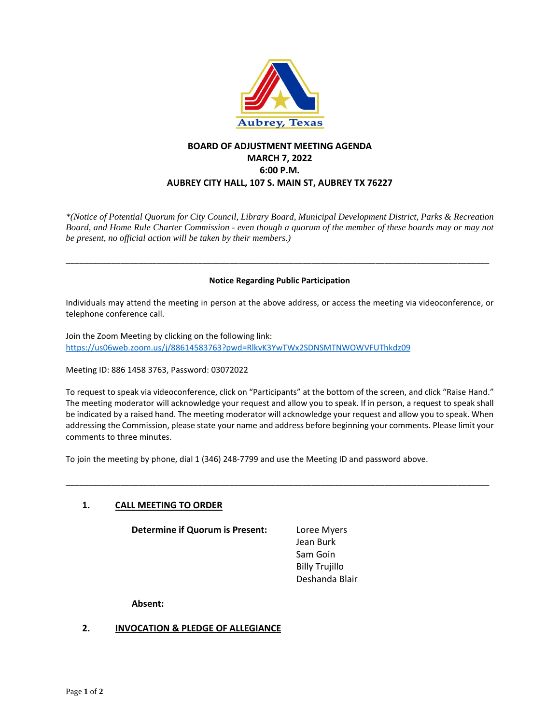

# **BOARD OF ADJUSTMENT MEETING AGENDA MARCH 7, 2022 6:00 P.M. AUBREY CITY HALL, 107 S. MAIN ST, AUBREY TX 76227**

*\*(Notice of Potential Quorum for City Council, Library Board, Municipal Development District, Parks & Recreation Board, and Home Rule Charter Commission - even though a quorum of the member of these boards may or may not be present, no official action will be taken by their members.)*

#### **Notice Regarding Public Participation**

\_\_\_\_\_\_\_\_\_\_\_\_\_\_\_\_\_\_\_\_\_\_\_\_\_\_\_\_\_\_\_\_\_\_\_\_\_\_\_\_\_\_\_\_\_\_\_\_\_\_\_\_\_\_\_\_\_\_\_\_\_\_\_\_\_\_\_\_\_\_\_\_\_\_\_\_\_\_\_\_\_\_\_\_\_\_\_\_\_\_\_\_\_

Individuals may attend the meeting in person at the above address, or access the meeting via videoconference, or telephone conference call.

Join the Zoom Meeting by clicking on the following link: <https://us06web.zoom.us/j/88614583763?pwd=RlkvK3YwTWx2SDNSMTNWOWVFUThkdz09>

Meeting ID: 886 1458 3763, Password: 03072022

To request to speak via videoconference, click on "Participants" at the bottom of the screen, and click "Raise Hand." The meeting moderator will acknowledge your request and allow you to speak. If in person, a request to speak shall be indicated by a raised hand. The meeting moderator will acknowledge your request and allow you to speak. When addressing the Commission, please state your name and address before beginning your comments. Please limit your comments to three minutes.

\_\_\_\_\_\_\_\_\_\_\_\_\_\_\_\_\_\_\_\_\_\_\_\_\_\_\_\_\_\_\_\_\_\_\_\_\_\_\_\_\_\_\_\_\_\_\_\_\_\_\_\_\_\_\_\_\_\_\_\_\_\_\_\_\_\_\_\_\_\_\_\_\_\_\_\_\_\_\_\_\_\_\_\_\_\_\_\_\_\_\_\_\_

To join the meeting by phone, dial 1 (346) 248-7799 and use the Meeting ID and password above.

# **1. CALL MEETING TO ORDER**

**Determine if Quorum is Present:** Loree Myers

Jean Burk Sam Goin Billy Trujillo Deshanda Blair

**Absent:**

# **2. INVOCATION & PLEDGE OF ALLEGIANCE**